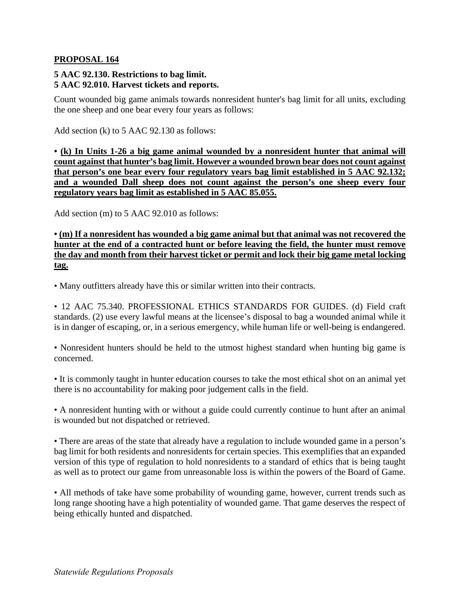## **PROPOSAL 164**

## **5 AAC 92.130. Restrictions to bag limit. 5 AAC 92.010. Harvest tickets and reports.**

Count wounded big game animals towards nonresident hunter's bag limit for all units, excluding the one sheep and one bear every four years as follows:

Add section (k) to 5 AAC 92.130 as follows:

**• (k) In Units 1-26 a big game animal wounded by a nonresident hunter that animal will count against that hunter's bag limit. However a wounded brown bear does not count against that person's one bear every four regulatory years bag limit established in 5 AAC 92.132; and a wounded Dall sheep does not count against the person's one sheep every four regulatory years bag limit as established in 5 AAC 85.055.** 

Add section (m) to 5 AAC 92.010 as follows:

**• (m) If a nonresident has wounded a big game animal but that animal was not recovered the hunter at the end of a contracted hunt or before leaving the field, the hunter must remove the day and month from their harvest ticket or permit and lock their big game metal locking tag.** 

• Many outfitters already have this or similar written into their contracts.

• 12 AAC 75.340. PROFESSIONAL ETHICS STANDARDS FOR GUIDES. (d) Field craft standards. (2) use every lawful means at the licensee's disposal to bag a wounded animal while it is in danger of escaping, or, in a serious emergency, while human life or well-being is endangered.

• Nonresident hunters should be held to the utmost highest standard when hunting big game is concerned.

• It is commonly taught in hunter education courses to take the most ethical shot on an animal yet there is no accountability for making poor judgement calls in the field.

• A nonresident hunting with or without a guide could currently continue to hunt after an animal is wounded but not dispatched or retrieved.

• There are areas of the state that already have a regulation to include wounded game in a person's bag limit for both residents and nonresidents for certain species. This exemplifies that an expanded version of this type of regulation to hold nonresidents to a standard of ethics that is being taught as well as to protect our game from unreasonable loss is within the powers of the Board of Game.

• All methods of take have some probability of wounding game, however, current trends such as long range shooting have a high potentiality of wounded game. That game deserves the respect of being ethically hunted and dispatched.